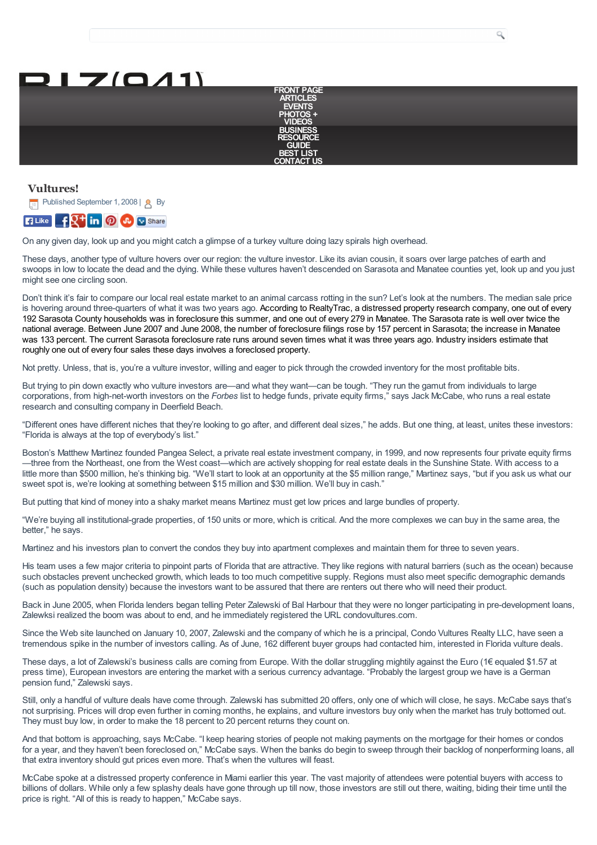

Q

## **Vultures!**





On any given day, look up and you might catch a glimpse of a turkey vulture doing lazy spirals high overhead.

These days, another type of vulture hovers over our region: the vulture investor. Like its avian cousin, it soars over large patches of earth and swoops in low to locate the dead and the dying. While these vultures haven't descended on Sarasota and Manatee counties yet, look up and you just might see one circling soon.

Don't think it's fair to compare our local real estate market to an animal carcass rotting in the sun? Let's look at the numbers. The median sale price is hovering around three-quarters of what it was two years ago. According to RealtyTrac, a distressed property research company, one out of every 192 Sarasota County households was in foreclosure this summer, and one out of every 279 in Manatee. The Sarasota rate is well over twice the national average. Between June 2007 and June 2008, the number of foreclosure filings rose by 157 percent in Sarasota; the increase in Manatee was 133 percent. The current Sarasota foreclosure rate runs around seven times what it was three years ago. Industry insiders estimate that roughly one out of every four sales these days involves a foreclosed property.

Not pretty. Unless, that is, you're a vulture investor, willing and eager to pick through the crowded inventory for the most profitable bits.

But trying to pin down exactly who vulture investors are—and what they want—can be tough. "They run the gamut from individuals to large corporations, from high-net-worth investors on the *Forbes* list to hedge funds, private equity firms," says Jack McCabe, who runs a real estate research and consulting company in Deerfield Beach.

"Different ones have different niches that they're looking to go after, and different deal sizes," he adds. But one thing, at least, unites these investors: "Florida is always at the top of everybody's list."

Boston's Matthew Martinez founded Pangea Select, a private real estate investment company, in 1999, and now represents four private equity firms —three from the Northeast, one from the West coast—which are actively shopping for real estate deals in the Sunshine State. With access to a little more than \$500 million, he's thinking big. "We'll start to look at an opportunity at the \$5 million range," Martinez says, "but if you ask us what our sweet spot is, we're looking at something between \$15 million and \$30 million. We'll buy in cash."

But putting that kind of money into a shaky market means Martinez must get low prices and large bundles of property.

"We're buying all institutional-grade properties, of 150 units or more, which is critical. And the more complexes we can buy in the same area, the better," he says.

Martinez and his investors plan to convert the condos they buy into apartment complexes and maintain them for three to seven years.

His team uses a few major criteria to pinpoint parts of Florida that are attractive. They like regions with natural barriers (such as the ocean) because such obstacles prevent unchecked growth, which leads to too much competitive supply. Regions must also meet specific demographic demands (such as population density) because the investors want to be assured that there are renters out there who will need their product.

Back in June 2005, when Florida lenders began telling Peter Zalewski of Bal Harbour that they were no longer participating in pre-development loans, Zalewksi realized the boom was about to end, and he immediately registered the URL condovultures.com.

Since the Web site launched on January 10, 2007, Zalewski and the company of which he is a principal, Condo Vultures Realty LLC, have seen a tremendous spike in the number of investors calling. As of June, 162 different buyer groups had contacted him, interested in Florida vulture deals.

These days, a lot of Zalewski's business calls are coming from Europe. With the dollar struggling mightily against the Euro (1€ equaled \$1.57 at press time), European investors are entering the market with a serious currency advantage. "Probably the largest group we have is a German pension fund," Zalewski says.

Still, only a handful of vulture deals have come through. Zalewski has submitted 20 offers, only one of which will close, he says. McCabe says that's not surprising. Prices will drop even further in coming months, he explains, and vulture investors buy only when the market has truly bottomed out. They must buy low, in order to make the 18 percent to 20 percent returns they count on.

And that bottom is approaching, says McCabe. "I keep hearing stories of people not making payments on the mortgage for their homes or condos for a year, and they hayen't been foreclosed on," McCabe says. When the banks do begin to sweep through their backlog of nonperforming loans, all that extra inventory should gut prices even more. That's when the vultures will feast.

McCabe spoke at a distressed property conference in Miami earlier this year. The vast majority of attendees were potential buyers with access to billions of dollars. While only a few splashy deals have gone through up till now, those investors are still out there, waiting, biding their time until the price is right. "All of this is ready to happen," McCabe says.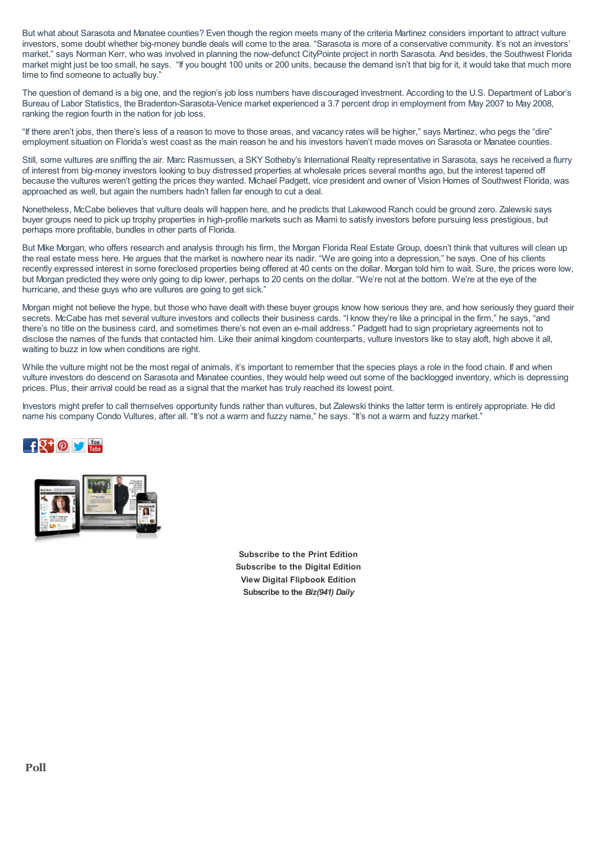But what about Sarasota and Manatee counties? Even though the region meets many of the criteria Martinez considers important to attract vulture investors, some doubt whether big-money bundle deals will come to the area. "Sarasota is more of a conservative community. It's not an investors' market," says Norman Kerr, who was involved in planning the now-defunct CityPointe project in north Sarasota. And besides, the Southwest Florida market might just be too small, he says. "If you bought 100 units or 200 units, because the demand isn't that big for it, it would take that much more time to find someone to actually buy."

The question of demand is a big one, and the region's job loss numbers have discouraged investment. According to the U.S. Department of Labor's Bureau of Labor Statistics, the Bradenton-Sarasota-Venice market experienced a 3.7 percent drop in employment from May 2007 to May 2008, ranking the region fourth in the nation for job loss.

"If there aren't jobs, then there's less of a reason to move to those areas, and vacancy rates will be higher," says Martinez, who pegs the "dire" employment situation on Florida's west coast as the main reason he and his investors haven't made moves on Sarasota or Manatee counties.

Still, some vultures are sniffing the air. Marc Rasmussen, a SKY Sotheby's International Realty representative in Sarasota, says he received a flurry of interest from big-money investors looking to buy distressed properties at wholesale prices several months ago, but the interest tapered off because the vultures weren't getting the prices they wanted. Michael Padgett, vice president and owner of Vision Homes of Southwest Florida, was approached as well, but again the numbers hadn't fallen far enough to cut a deal.

Nonetheless, McCabe believes that vulture deals will happen here, and he predicts that Lakewood Ranch could be ground zero. Zalewski says buyer groups need to pick up trophy properties in high-profile markets such as Miami to satisfy investors before pursuing less prestigious, but perhaps more profitable, bundles in other parts of Florida.

But Mike Morgan, who offers research and analysis through his firm, the Morgan Florida Real Estate Group, doesn't think that vultures will clean up the real estate mess here. He argues that the market is nowhere near its nadir. "We are going into a depression," he says. One of his clients recently expressed interest in some foreclosed properties being offered at 40 cents on the dollar. Morgan told him to wait. Sure, the prices were low, but Morgan predicted they were only going to dip lower, perhaps to 20 cents on the dollar. "We're not at the bottom. We're at the eye of the hurricane, and these guys who are vultures are going to get sick."

Morgan might not believe the hype, but those who have dealt with these buyer groups know how serious they are, and how seriously they guard their secrets. McCabe has met several vulture investors and collects their business cards. "I know they're like a principal in the firm," he says, "and there's no title on the business card, and sometimes there's not even an e-mail address." Padgett had to sign proprietary agreements not to disclose the names of the funds that contacted him. Like their animal kingdom counterparts, vulture investors like to stay aloft, high above it all, waiting to buzz in low when conditions are right.

While the vulture might not be the most regal of animals, it's important to remember that the species plays a role in the food chain. If and when vulture investors do descend on Sarasota and Manatee counties, they would help weed out some of the backlogged inventory, which is depressing prices. Plus, their arrival could be read as a signal that the market has truly reached its lowest point.

Investors might prefer to call themselves opportunity funds rather than vultures, but Zalewski thinks the latter term is entirely appropriate. He did name his company Condo Vultures, after all. "It's not a warm and fuzzy name," he says. "It's not a warm and fuzzy market."





**[Subscribe](http://biz941.com/subscribe-to-biz941/) to the Print Edition [Subscribe](http://sarasotamagazine.us1.list-manage.com/subscribe?u=90b255b20087b1d87f7762948&id=8894ba0440) to the Digital Edition View Digital [Flipbook](http://biz941.com/digitaledition/) Edition [Subscribe](http://biz941.com/biz941-daily-archives) to the** *Biz(941) Daily*